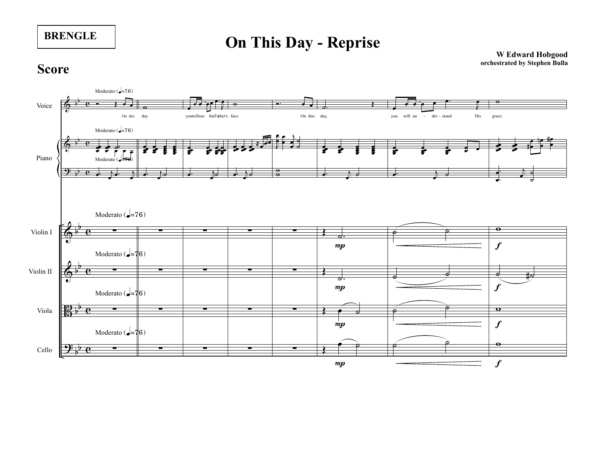**On This Day - Reprise**

**W Edward Hobgood orchestrated by Stephen Bulla**

## **Score**

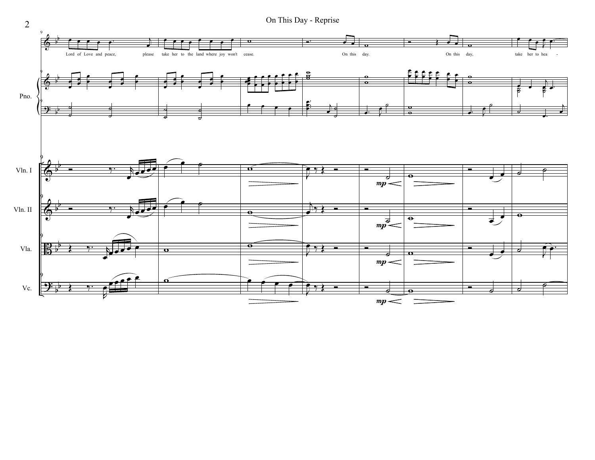